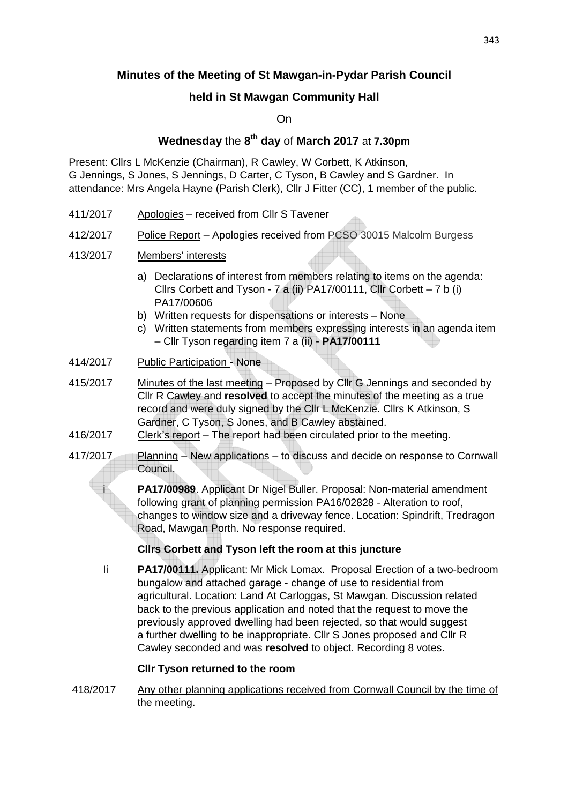# **Minutes of the Meeting of St Mawgan-in-Pydar Parish Council**

# **held in St Mawgan Community Hall**

On

# **Wednesday** the **8 th day** of **March 2017** at **7.30pm**

Present: Cllrs L McKenzie (Chairman), R Cawley, W Corbett, K Atkinson, G Jennings, S Jones, S Jennings, D Carter, C Tyson, B Cawley and S Gardner. In attendance: Mrs Angela Hayne (Parish Clerk), Cllr J Fitter (CC), 1 member of the public.

- 411/2017 Apologies received from Cllr S Tavener
- 412/2017 Police Report Apologies received from PCSO 30015 Malcolm Burgess
- 413/2017 Members' interests
	- a) Declarations of interest from members relating to items on the agenda: Cllrs Corbett and Tyson - 7 a (ii) PA17/00111, Cllr Corbett  $-7$  b (i) PA17/00606
	- b) Written requests for dispensations or interests None
	- c) Written statements from members expressing interests in an agenda item – Cllr Tyson regarding item 7 a (ii) - **PA17/00111**
- 414/2017 Public Participation None
- 415/2017 Minutes of the last meeting Proposed by Cllr G Jennings and seconded by Cllr R Cawley and **resolved** to accept the minutes of the meeting as a true record and were duly signed by the Cllr L McKenzie. Cllrs K Atkinson, S Gardner, C Tyson, S Jones, and B Cawley abstained.
- 416/2017 Clerk's report The report had been circulated prior to the meeting.
- 417/2017 Planning New applications to discuss and decide on response to Cornwall Council.

 i **PA17/00989**. Applicant Dr Nigel Buller. Proposal: Non-material amendment following grant of planning permission PA16/02828 - Alteration to roof, changes to window size and a driveway fence. Location: Spindrift, Tredragon Road, Mawgan Porth. No response required.

# **Cllrs Corbett and Tyson left the room at this juncture**

 Ii **PA17/00111.** Applicant: Mr Mick Lomax. Proposal Erection of a two-bedroom bungalow and attached garage - change of use to residential from agricultural. Location: Land At Carloggas, St Mawgan. Discussion related back to the previous application and noted that the request to move the previously approved dwelling had been rejected, so that would suggest a further dwelling to be inappropriate. Cllr S Jones proposed and Cllr R Cawley seconded and was **resolved** to object. Recording 8 votes.

### **Cllr Tyson returned to the room**

418/2017 Any other planning applications received from Cornwall Council by the time of the meeting.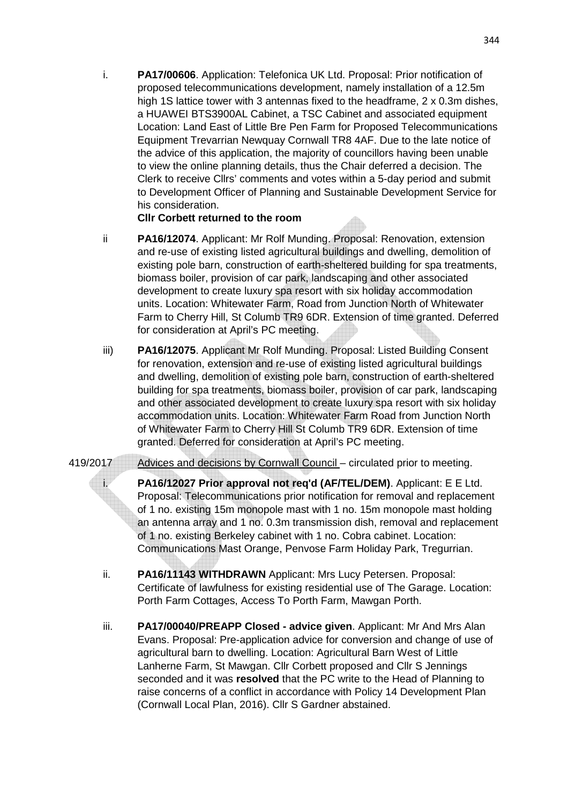i. **PA17/00606**. Application: Telefonica UK Ltd. Proposal: Prior notification of proposed telecommunications development, namely installation of a 12.5m high 1S lattice tower with 3 antennas fixed to the headframe, 2 x 0.3m dishes, a HUAWEI BTS3900AL Cabinet, a TSC Cabinet and associated equipment Location: Land East of Little Bre Pen Farm for Proposed Telecommunications Equipment Trevarrian Newquay Cornwall TR8 4AF. Due to the late notice of the advice of this application, the majority of councillors having been unable to view the online planning details, thus the Chair deferred a decision. The Clerk to receive Cllrs' comments and votes within a 5-day period and submit to Development Officer of Planning and Sustainable Development Service for his consideration.

## **Cllr Corbett returned to the room**

- ii **PA16/12074**. Applicant: Mr Rolf Munding. Proposal: Renovation, extension and re-use of existing listed agricultural buildings and dwelling, demolition of existing pole barn, construction of earth-sheltered building for spa treatments, biomass boiler, provision of car park, landscaping and other associated development to create luxury spa resort with six holiday accommodation units. Location: Whitewater Farm, Road from Junction North of Whitewater Farm to Cherry Hill, St Columb TR9 6DR. Extension of time granted. Deferred for consideration at April's PC meeting.
- iii) **PA16/12075**. Applicant Mr Rolf Munding. Proposal: Listed Building Consent for renovation, extension and re-use of existing listed agricultural buildings and dwelling, demolition of existing pole barn, construction of earth-sheltered building for spa treatments, biomass boiler, provision of car park, landscaping and other associated development to create luxury spa resort with six holiday accommodation units. Location: Whitewater Farm Road from Junction North of Whitewater Farm to Cherry Hill St Columb TR9 6DR. Extension of time granted. Deferred for consideration at April's PC meeting.
- 419/2017 Advices and decisions by Cornwall Council circulated prior to meeting.
	- i. **PA16/12027 Prior approval not req'd (AF/TEL/DEM)**. Applicant: E E Ltd. Proposal: Telecommunications prior notification for removal and replacement of 1 no. existing 15m monopole mast with 1 no. 15m monopole mast holding an antenna array and 1 no. 0.3m transmission dish, removal and replacement of 1 no. existing Berkeley cabinet with 1 no. Cobra cabinet. Location: Communications Mast Orange, Penvose Farm Holiday Park, Tregurrian.
	- ii. **PA16/11143 WITHDRAWN** Applicant: Mrs Lucy Petersen. Proposal: Certificate of lawfulness for existing residential use of The Garage. Location: Porth Farm Cottages, Access To Porth Farm, Mawgan Porth.
	- iii. **PA17/00040/PREAPP Closed advice given**. Applicant: Mr And Mrs Alan Evans. Proposal: Pre-application advice for conversion and change of use of agricultural barn to dwelling. Location: Agricultural Barn West of Little Lanherne Farm, St Mawgan. Cllr Corbett proposed and Cllr S Jennings seconded and it was **resolved** that the PC write to the Head of Planning to raise concerns of a conflict in accordance with Policy 14 Development Plan (Cornwall Local Plan, 2016). Cllr S Gardner abstained.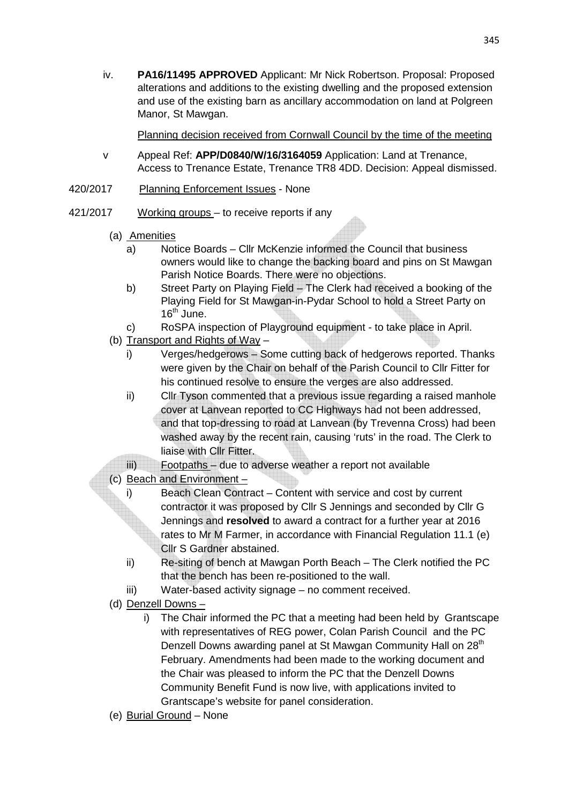iv. **PA16/11495 APPROVED** Applicant: Mr Nick Robertson. Proposal: Proposed alterations and additions to the existing dwelling and the proposed extension and use of the existing barn as ancillary accommodation on land at Polgreen Manor, St Mawgan.

Planning decision received from Cornwall Council by the time of the meeting

- v Appeal Ref: **APP/D0840/W/16/3164059** Application: Land at Trenance, Access to Trenance Estate, Trenance TR8 4DD. Decision: Appeal dismissed.
- 420/2017 Planning Enforcement Issues None
- 421/2017 Working groups to receive reports if any
	- (a) Amenities
		- a) Notice Boards Cllr McKenzie informed the Council that business owners would like to change the backing board and pins on St Mawgan Parish Notice Boards. There were no objections.
		- b) Street Party on Playing Field The Clerk had received a booking of the Playing Field for St Mawgan-in-Pydar School to hold a Street Party on  $16^{th}$  June.
		- c) RoSPA inspection of Playground equipment to take place in April.
	- (b) Transport and Rights of Way
		- i) Verges/hedgerows Some cutting back of hedgerows reported. Thanks were given by the Chair on behalf of the Parish Council to Cllr Fitter for his continued resolve to ensure the verges are also addressed.
		- ii) Cllr Tyson commented that a previous issue regarding a raised manhole cover at Lanvean reported to CC Highways had not been addressed, and that top-dressing to road at Lanvean (by Trevenna Cross) had been washed away by the recent rain, causing 'ruts' in the road. The Clerk to liaise with Cllr Fitter.
		- iii) Footpaths due to adverse weather a report not available
	- (c) Beach and Environment
		- i) Beach Clean Contract Content with service and cost by current contractor it was proposed by Cllr S Jennings and seconded by Cllr G Jennings and **resolved** to award a contract for a further year at 2016 rates to Mr M Farmer, in accordance with Financial Regulation 11.1 (e) Cllr S Gardner abstained.
		- ii) Re-siting of bench at Mawgan Porth Beach The Clerk notified the PC that the bench has been re-positioned to the wall.
		- iii) Water-based activity signage no comment received.
	- (d) Denzell Downs
		- i) The Chair informed the PC that a meeting had been held by Grantscape with representatives of REG power, Colan Parish Council and the PC Denzell Downs awarding panel at St Mawgan Community Hall on 28<sup>th</sup> February. Amendments had been made to the working document and the Chair was pleased to inform the PC that the Denzell Downs Community Benefit Fund is now live, with applications invited to Grantscape's website for panel consideration.
	- (e) Burial Ground None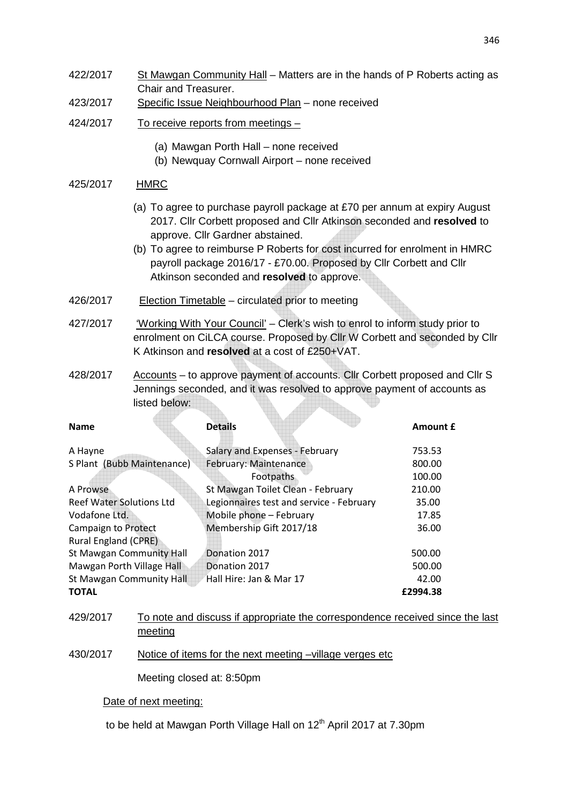- 422/2017 St Mawgan Community Hall Matters are in the hands of P Roberts acting as Chair and Treasurer.
- 423/2017 Specific Issue Neighbourhood Plan none received
- 424/2017 To receive reports from meetings
	- (a) Mawgan Porth Hall none received
	- (b) Newquay Cornwall Airport none received

### 425/2017 HMRC

- (a) To agree to purchase payroll package at £70 per annum at expiry August 2017. Cllr Corbett proposed and Cllr Atkinson seconded and **resolved** to approve. Cllr Gardner abstained.
- (b) To agree to reimburse P Roberts for cost incurred for enrolment in HMRC payroll package 2016/17 - £70.00. Proposed by Cllr Corbett and Cllr Atkinson seconded and **resolved** to approve.
- 426/2017 Election Timetable circulated prior to meeting
- 427/2017 'Working With Your Council' Clerk's wish to enrol to inform study prior to enrolment on CiLCA course. Proposed by Cllr W Corbett and seconded by Cllr K Atkinson and **resolved** at a cost of £250+VAT.
- 428/2017 Accounts to approve payment of accounts. Cllr Corbett proposed and Cllr S Jennings seconded, and it was resolved to approve payment of accounts as listed below:

| <b>Name</b>                     | <b>Details</b>                           | <b>Amount £</b> |
|---------------------------------|------------------------------------------|-----------------|
| A Hayne                         | Salary and Expenses - February           | 753.53          |
| S Plant (Bubb Maintenance)      | February: Maintenance                    | 800.00          |
|                                 | Footpaths                                | 100.00          |
| A Prowse                        | St Mawgan Toilet Clean - February        | 210.00          |
| <b>Reef Water Solutions Ltd</b> | Legionnaires test and service - February | 35.00           |
| Vodafone Ltd.                   | Mobile phone - February                  | 17.85           |
| <b>Campaign to Protect</b>      | Membership Gift 2017/18                  | 36.00           |
| <b>Rural England (CPRE)</b>     |                                          |                 |
| <b>St Mawgan Community Hall</b> | Donation 2017                            | 500.00          |
| Mawgan Porth Village Hall       | Donation 2017                            | 500.00          |
| <b>St Mawgan Community Hall</b> | Hall Hire: Jan & Mar 17                  | 42.00           |
| <b>TOTAL</b>                    |                                          | £2994.38        |

- 429/2017 To note and discuss if appropriate the correspondence received since the last meeting
- 430/2017 Notice of items for the next meeting –village verges etc

Meeting closed at: 8:50pm

#### Date of next meeting:

to be held at Mawgan Porth Village Hall on 12<sup>th</sup> April 2017 at 7.30pm